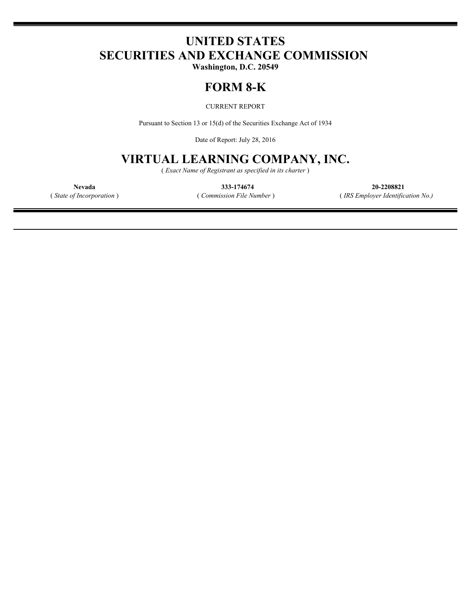# **UNITED STATES SECURITIES AND EXCHANGE COMMISSION**

**Washington, D.C. 20549**

## **FORM 8-K**

CURRENT REPORT

Pursuant to Section 13 or 15(d) of the Securities Exchange Act of 1934

Date of Report: July 28, 2016

## **VIRTUAL LEARNING COMPANY, INC.**

( *Exact Name of Registrant as specified in its charter* )

**Nevada 333-174674 20-2208821** ( *State of Incorporation* ) ( *Commission File Number* ) ( *IRS Employer Identification No.)*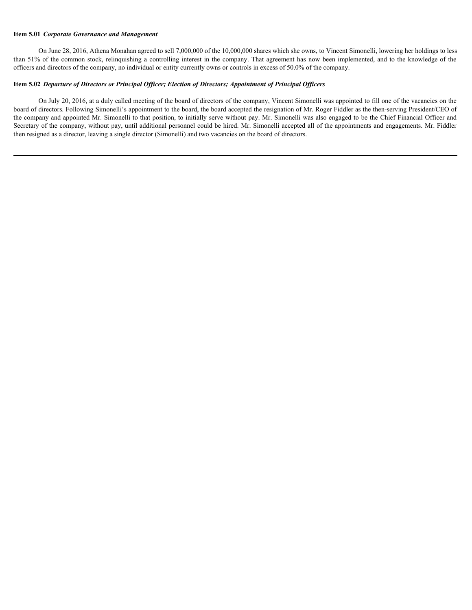#### **Item 5.01** *Corporate Governance and Management*

On June 28, 2016, Athena Monahan agreed to sell 7,000,000 of the 10,000,000 shares which she owns, to Vincent Simonelli, lowering her holdings to less than 51% of the common stock, relinquishing a controlling interest in the company. That agreement has now been implemented, and to the knowledge of the officers and directors of the company, no individual or entity currently owns or controls in excess of 50.0% of the company.

#### **Item 5.02** *Departure of Directors or Principal Officer; Election of Directors; Appointment of Principal Officers*

On July 20, 2016, at a duly called meeting of the board of directors of the company, Vincent Simonelli was appointed to fill one of the vacancies on the board of directors. Following Simonelli's appointment to the board, the board accepted the resignation of Mr. Roger Fiddler as the then-serving President/CEO of the company and appointed Mr. Simonelli to that position, to initially serve without pay. Mr. Simonelli was also engaged to be the Chief Financial Officer and Secretary of the company, without pay, until additional personnel could be hired. Mr. Simonelli accepted all of the appointments and engagements. Mr. Fiddler then resigned as a director, leaving a single director (Simonelli) and two vacancies on the board of directors.